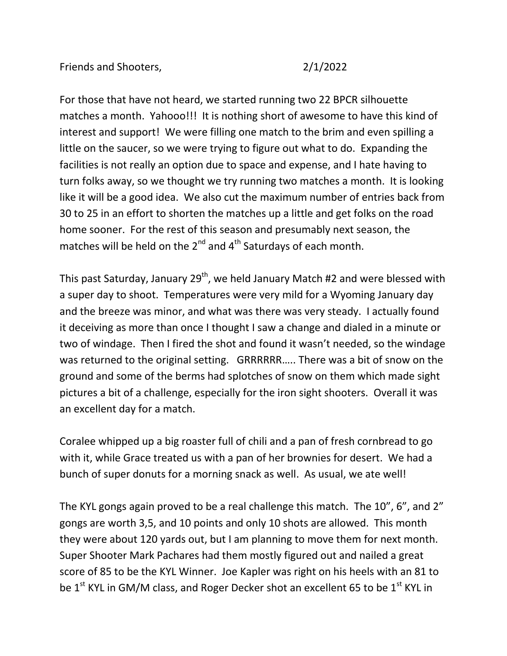For those that have not heard, we started running two 22 BPCR silhouette matches a month. Yahooo!!! It is nothing short of awesome to have this kind of interest and support! We were filling one match to the brim and even spilling a little on the saucer, so we were trying to figure out what to do. Expanding the facilities is not really an option due to space and expense, and I hate having to turn folks away, so we thought we try running two matches a month. It is looking like it will be a good idea. We also cut the maximum number of entries back from 30 to 25 in an effort to shorten the matches up a little and get folks on the road home sooner. For the rest of this season and presumably next season, the matches will be held on the  $2^{nd}$  and  $4^{th}$  Saturdays of each month.

This past Saturday, January  $29^{th}$ , we held January Match #2 and were blessed with a super day to shoot. Temperatures were very mild for a Wyoming January day and the breeze was minor, and what was there was very steady. I actually found it deceiving as more than once I thought I saw a change and dialed in a minute or two of windage. Then I fired the shot and found it wasn't needed, so the windage was returned to the original setting. GRRRRRR….. There was a bit of snow on the ground and some of the berms had splotches of snow on them which made sight pictures a bit of a challenge, especially for the iron sight shooters. Overall it was an excellent day for a match.

Coralee whipped up a big roaster full of chili and a pan of fresh cornbread to go with it, while Grace treated us with a pan of her brownies for desert. We had a bunch of super donuts for a morning snack as well. As usual, we ate well!

The KYL gongs again proved to be a real challenge this match. The 10", 6", and 2" gongs are worth 3,5, and 10 points and only 10 shots are allowed. This month they were about 120 yards out, but I am planning to move them for next month. Super Shooter Mark Pachares had them mostly figured out and nailed a great score of 85 to be the KYL Winner. Joe Kapler was right on his heels with an 81 to be  $1<sup>st</sup>$  KYL in GM/M class, and Roger Decker shot an excellent 65 to be  $1<sup>st</sup>$  KYL in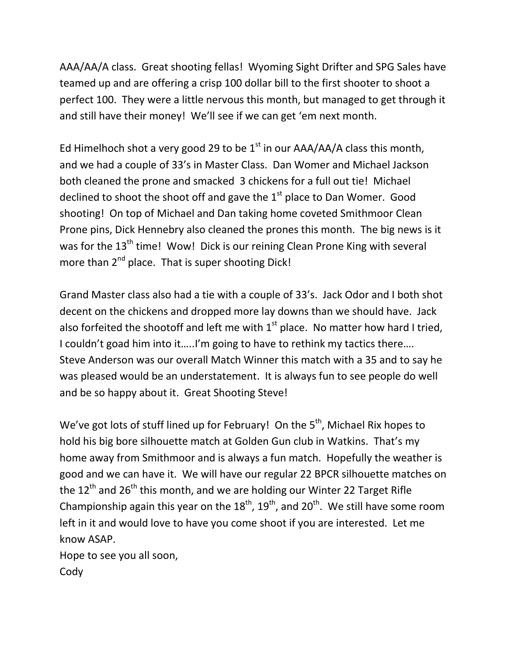AAA/AA/A class. Great shooting fellas! Wyoming Sight Drifter and SPG Sales have teamed up and are offering a crisp 100 dollar bill to the first shooter to shoot a perfect 100. They were a little nervous this month, but managed to get through it and still have their money! We'll see if we can get 'em next month.

Ed Himelhoch shot a very good 29 to be  $1<sup>st</sup>$  in our AAA/AA/A class this month, and we had a couple of 33's in Master Class. Dan Womer and Michael Jackson both cleaned the prone and smacked 3 chickens for a full out tie! Michael declined to shoot the shoot off and gave the  $1<sup>st</sup>$  place to Dan Womer. Good shooting! On top of Michael and Dan taking home coveted Smithmoor Clean Prone pins, Dick Hennebry also cleaned the prones this month. The big news is it was for the 13<sup>th</sup> time! Wow! Dick is our reining Clean Prone King with several more than 2<sup>nd</sup> place. That is super shooting Dick!

Grand Master class also had a tie with a couple of 33's. Jack Odor and I both shot decent on the chickens and dropped more lay downs than we should have. Jack also forfeited the shootoff and left me with  $1<sup>st</sup>$  place. No matter how hard I tried, I couldn't goad him into it.....I'm going to have to rethink my tactics there.... Steve Anderson was our overall Match Winner this match with a 35 and to say he was pleased would be an understatement. It is always fun to see people do well and be so happy about it. Great Shooting Steve!

We've got lots of stuff lined up for February! On the  $5<sup>th</sup>$ , Michael Rix hopes to hold his big bore silhouette match at Golden Gun club in Watkins. That's my home away from Smithmoor and is always a fun match. Hopefully the weather is good and we can have it. We will have our regular 22 BPCR silhouette matches on the  $12^{th}$  and  $26^{th}$  this month, and we are holding our Winter 22 Target Rifle Championship again this year on the  $18<sup>th</sup>$ ,  $19<sup>th</sup>$ , and  $20<sup>th</sup>$ . We still have some room left in it and would love to have you come shoot if you are interested. Let me know ASAP.

Hope to see you all soon, Cody